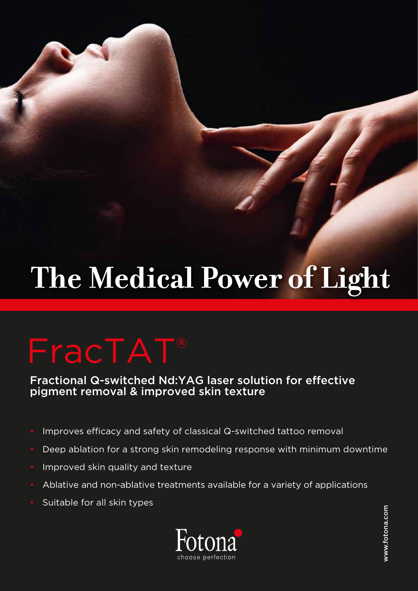# The Medical Power of Light

## FracTAT®

Fractional Q-switched Nd:YAG laser solution for effective pigment removal & improved skin texture

- Improves efficacy and safety of classical Q-switched tattoo removal
- Deep ablation for a strong skin remodeling response with minimum downtime
- Improved skin quality and texture
- Ablative and non-ablative treatments available for a variety of applications
- Suitable for all skin types